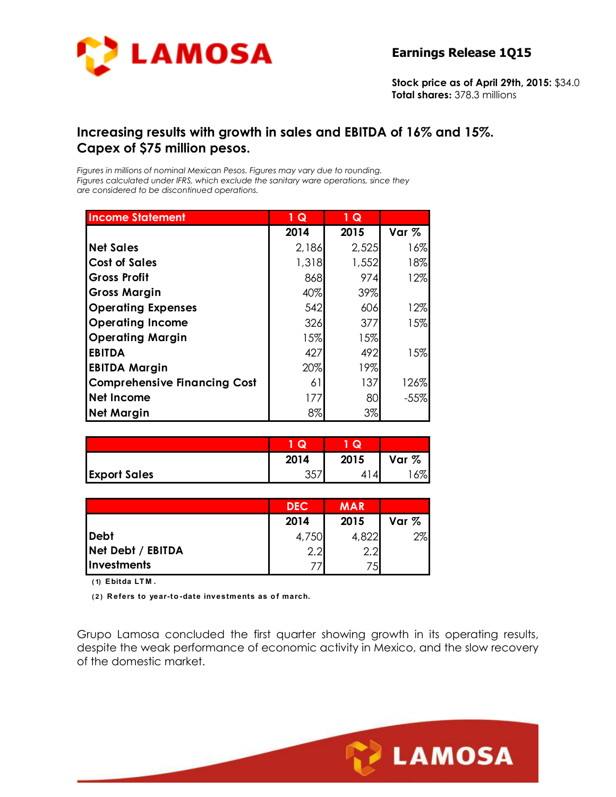

**Stock price as of April 29th, 2015:** \$34.0 **Total shares:** 378.3 millions

## **Increasing results with growth in sales and EBITDA of 16% and 15%. Capex of \$75 million pesos.**

*Figures in millions of nominal Mexican Pesos. Figures may vary due to rounding. Figures calculated under IFRS, which exclude the sanitary ware operations, since they are considered to be discontinued operations.* 

| <b>Income Statement</b>             | ♦<br>Q | $1\overline{Q}$ |        |
|-------------------------------------|--------|-----------------|--------|
|                                     | 2014   | 2015            | Var %  |
| <b>Net Sales</b>                    | 2,186  | 2,525           | 16%    |
| <b>Cost of Sales</b>                | 1,318  | 1,552           | 18%    |
| <b>Gross Profit</b>                 | 868    | 974             | 12%    |
| <b>Gross Margin</b>                 | 40%    | 39%             |        |
| <b>Operating Expenses</b>           | 542    | 606             | 12%    |
| <b>Operating Income</b>             | 326    | 377             | 15%    |
| <b>Operating Margin</b>             | 15%    | 15%             |        |
| <b>EBITDA</b>                       | 427    | 492             | 15%    |
| <b>EBITDA Margin</b>                | 20%    | 19%             |        |
| <b>Comprehensive Financing Cost</b> | 61     | 137             | 126%   |
| <b>Net Income</b>                   | 177    | 80              | $-55%$ |
| <b>Net Margin</b>                   | 8%     | 3%              |        |

|                     | Q         | Q    |       |
|---------------------|-----------|------|-------|
|                     | 2014      | 2015 | Var % |
| <b>Export Sales</b> | つにつ<br>ِن | 4.   | 5%    |

|                    | <b>DEC</b> | <b>MAR</b> |       |
|--------------------|------------|------------|-------|
|                    | 2014       | 2015       | Var % |
| Debt               | 4,750      | 4,822      | 2%    |
| Net Debt / EBITDA  | 2.2        | 2.2        |       |
| <b>Investments</b> |            | 75         |       |

**( 1) Ebitda LT M .**

**( 2 ) R efers to year-to -date investments as o f march.**

Grupo Lamosa concluded the first quarter showing growth in its operating results, despite the weak performance of economic activity in Mexico, and the slow recovery of the domestic market.

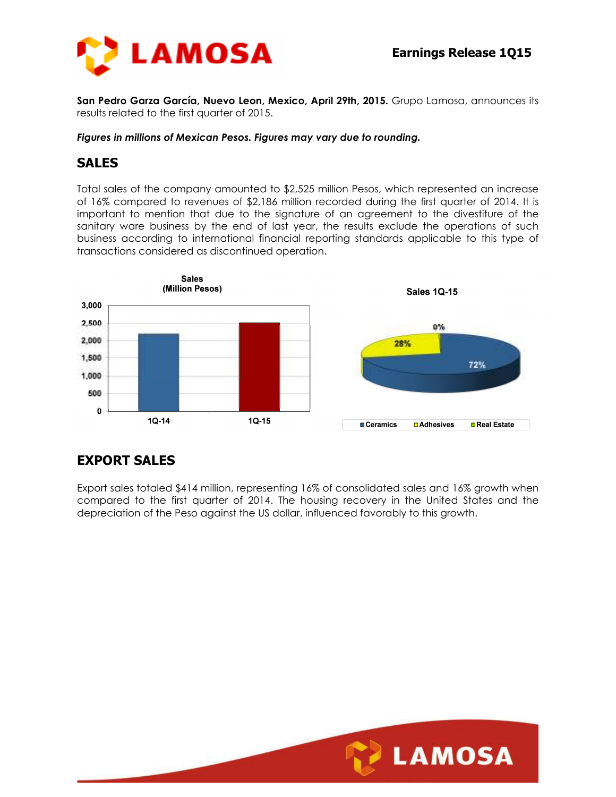

**San Pedro Garza García, Nuevo Leon, Mexico, April 29th, 2015.** Grupo Lamosa, announces its results related to the first quarter of 2015.

#### *Figures in millions of Mexican Pesos. Figures may vary due to rounding.*

#### **SALES**

Total sales of the company amounted to \$2,525 million Pesos, which represented an increase of 16% compared to revenues of \$2,186 million recorded during the first quarter of 2014. It is important to mention that due to the signature of an agreement to the divestiture of the sanitary ware business by the end of last year, the results exclude the operations of such business according to international financial reporting standards applicable to this type of transactions considered as discontinued operation.



## **EXPORT SALES**

Export sales totaled \$414 million, representing 16% of consolidated sales and 16% growth when compared to the first quarter of 2014. The housing recovery in the United States and the depreciation of the Peso against the US dollar, influenced favorably to this growth.

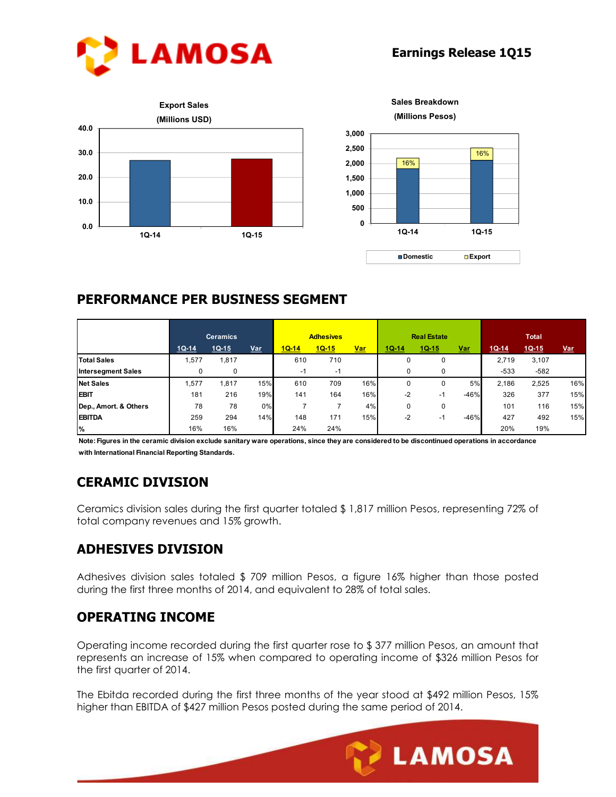





## **PERFORMANCE PER BUSINESS SEGMENT**

|                           | <b>Ceramics</b> |         | <b>Adhesives</b> |         | <b>Real Estate</b> |            |           | <b>Total</b> |            |         |         |            |
|---------------------------|-----------------|---------|------------------|---------|--------------------|------------|-----------|--------------|------------|---------|---------|------------|
|                           | $1Q-14$         | $1Q-15$ | <u>Var</u>       | $1Q-14$ | $1Q-15$            | <b>Var</b> | $10 - 14$ | $1Q-15$      | <u>Var</u> | $1Q-14$ | $1Q-15$ | <u>Var</u> |
| <b>Total Sales</b>        | 1,577           | 1,817   |                  | 610     | 710                |            | 0         | 0            |            | 2.719   | 3,107   |            |
| <b>Intersegment Sales</b> |                 | 0       |                  | -1      | -1                 |            | 0         | 0            |            | $-533$  | $-582$  |            |
| <b>Net Sales</b>          | .577            | 1.817   | 15%              | 610     | 709                | 16%        |           | 0            | 5%         | 2.186   | 2,525   | 16%        |
| <b>EBIT</b>               | 181             | 216     | 19%              | 141     | 164                | 16%        | -2        | $-1$         | $-46%$     | 326     | 377     | 15%        |
| Dep., Amort. & Others     | 78              | 78      | 0%               |         |                    | 4%         | 0         | 0            |            | 101     | 116     | 15%        |
| <b>EBITDA</b>             | 259             | 294     | 14%              | 148     | 171                | 15%        | -2        | нï           | $-46%$     | 427     | 492     | 15%        |
| %                         | 16%             | 16%     |                  | 24%     | 24%                |            |           |              |            | 20%     | 19%     |            |

**Note: Figures in the ceramic division exclude sanitary ware operations, since they are considered to be discontinued operations in accordance with International Financial Reporting Standards.**

## **CERAMIC DIVISION**

Ceramics division sales during the first quarter totaled \$ 1,817 million Pesos, representing 72% of total company revenues and 15% growth.

## **ADHESIVES DIVISION**

Adhesives division sales totaled \$ 709 million Pesos, a figure 16% higher than those posted during the first three months of 2014, and equivalent to 28% of total sales.

## **OPERATING INCOME**

Operating income recorded during the first quarter rose to \$ 377 million Pesos, an amount that represents an increase of 15% when compared to operating income of \$326 million Pesos for the first quarter of 2014.

The Ebitda recorded during the first three months of the year stood at \$492 million Pesos, 15% higher than EBITDA of \$427 million Pesos posted during the same period of 2014.

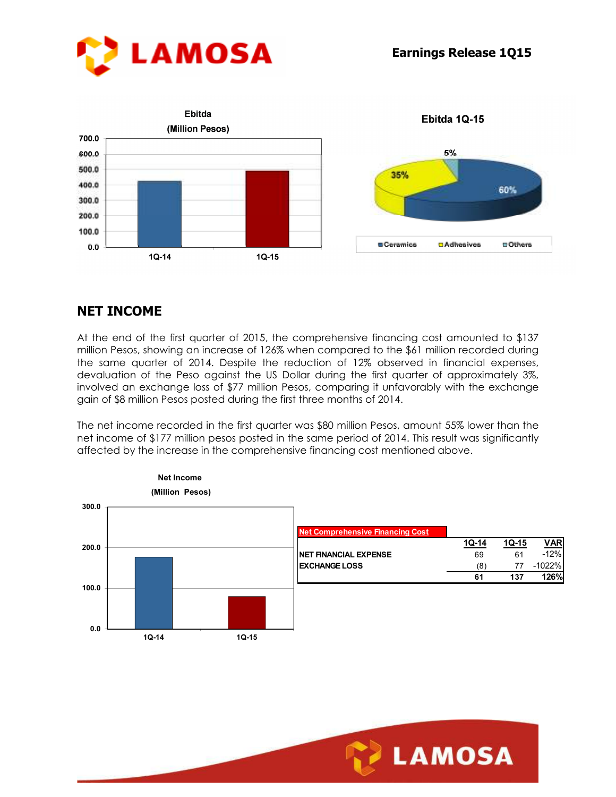



# **NET INCOME**

At the end of the first quarter of 2015, the comprehensive financing cost amounted to \$137 million Pesos, showing an increase of 126% when compared to the \$61 million recorded during the same quarter of 2014. Despite the reduction of 12% observed in financial expenses, devaluation of the Peso against the US Dollar during the first quarter of approximately 3%, involved an exchange loss of \$77 million Pesos, comparing it unfavorably with the exchange gain of \$8 million Pesos posted during the first three months of 2014.

The net income recorded in the first quarter was \$80 million Pesos, amount 55% lower than the net income of \$177 million pesos posted in the same period of 2014. This result was significantly affected by the increase in the comprehensive financing cost mentioned above.